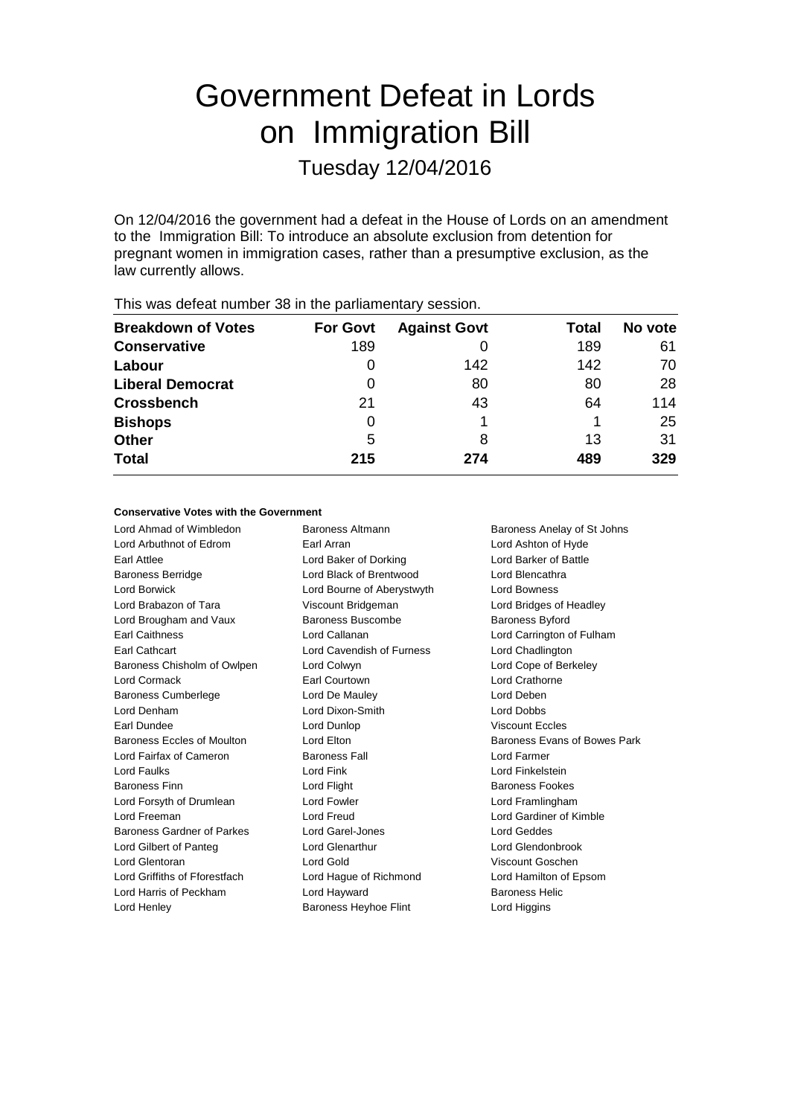# Government Defeat in Lords on Immigration Bill

Tuesday 12/04/2016

On 12/04/2016 the government had a defeat in the House of Lords on an amendment to the Immigration Bill: To introduce an absolute exclusion from detention for pregnant women in immigration cases, rather than a presumptive exclusion, as the law currently allows.

| <b>Breakdown of Votes</b> | <b>For Govt</b> | <b>Against Govt</b> | Total | No vote |
|---------------------------|-----------------|---------------------|-------|---------|
| <b>Conservative</b>       | 189             |                     | 189   | 61      |
| Labour                    | O               | 142                 | 142   | 70      |
| <b>Liberal Democrat</b>   | 0               | 80                  | 80    | 28      |
| <b>Crossbench</b>         | 21              | 43                  | 64    | 114     |
| <b>Bishops</b>            | O               |                     |       | 25      |
| <b>Other</b>              | 5               | 8                   | 13    | 31      |
| <b>Total</b>              | 215             | 274                 | 489   | 329     |
|                           |                 |                     |       |         |

This was defeat number 38 in the parliamentary session.

#### **Conservative Votes with the Government**

Lord Ahmad of Wimbledon Baroness Altmann Baroness Anelay of St Johns Lord Arbuthnot of Edrom Earl Arran Lord Ashton of Hyde Earl Attlee **Lord Baker of Dorking** Lord Barker of Battle Baroness Berridge Lord Black of Brentwood Lord Blencathra Lord Borwick Lord Bourne of Aberystwyth Lord Bowness Lord Brabazon of Tara Viscount Bridgeman Lord Bridges of Headley Lord Brougham and Vaux Baroness Buscombe Baroness Byford Earl Caithness Lord Callanan Lord Carrington of Fulham Earl Cathcart Lord Cavendish of Furness Lord Chadlington Baroness Chisholm of Owlpen Lord Colwyn Lord Cope of Berkeley Lord Cormack Earl Courtown Lord Crathorne Baroness Cumberlege Lord De Mauley Lord Deben Lord Denham Lord Dixon-Smith Lord Dobbs Earl Dundee Lord Dunlop Viscount Eccles Baroness Eccles of Moulton **Lord Elton Lord Elton** Baroness Evans of Bowes Park Lord Fairfax of Cameron Baroness Fall Lord Farmer Lord Faulks Lord Fink Lord Finkelstein Baroness Finn Lord Flight Baroness Fookes Lord Forsyth of Drumlean Lord Fowler Lord Forsyth of Drumlean Lord Framlingham Lord Freeman Lord Freud Lord Gardiner of Kimble Baroness Gardner of Parkes Lord Garel-Jones Corporation Lord Geddes Lord Gilbert of Panteg Lord Glenarthur Lord Glendonbrook Lord Glentoran Lord Gold Viscount Goschen Lord Griffiths of Fforestfach Lord Hague of Richmond Lord Hamilton of Epsom Lord Harris of Peckham Lord Hayward Baroness Helic Lord Henley Baroness Heyhoe Flint Lord Higgins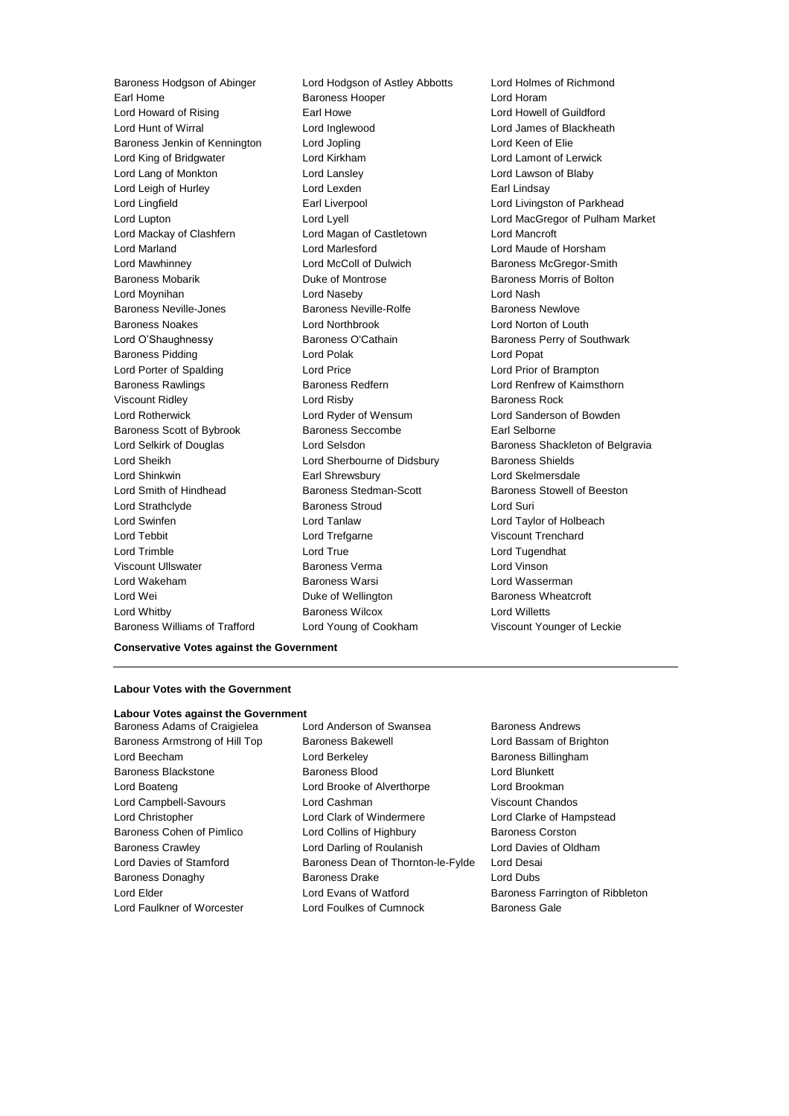Earl Home **Baroness Hooper Baroness Hooper Lord Horam** Lord Howard of Rising Earl Howe Lord Howell of Guildford Lord Hunt of Wirral Lord Inglewood Lord James of Blackheath Baroness Jenkin of Kennington Lord Jopling Lord Keen of Elie Lord King of Bridgwater Lord Kirkham Lord Lamont of Lerwick Lord Lang of Monkton Lord Lansley Lord Lawson of Blaby Lord Leigh of Hurley **Lord Lexden** Earl Lindsay Lord Lingfield **Earl Liverpool** Earl Liverpool **Lord Livingston of Parkhead** Lord Mackay of Clashfern Lord Magan of Castletown Lord Mancroft Lord Marland Lord Marlesford Lord Maude of Horsham Lord Mawhinney **Lord McColl of Dulwich Baroness McGregor-Smith** Baroness McGregor-Smith Baroness Mobarik **Baroness Mobaris Community** Duke of Montrose **Baroness Morris of Bolton** Lord Moynihan Lord Naseby Lord Nash Baroness Neville-Jones Baroness Neville-Rolfe Baroness Newlove Baroness Noakes Lord Northbrook Lord Norton of Louth Lord O'Shaughnessy Baroness O'Cathain Baroness Perry of Southwark Baroness Pidding **Communist Construction Construction** Lord Polak **Lord Popat** Lord Porter of Spalding Lord Price Lord Prior of Brampton Baroness Rawlings **Baroness Redfern Baroness Redfern** Lord Renfrew of Kaimsthorn Viscount Ridley **Community** Lord Risby **Baroness Rock** Lord Rotherwick Lord Ryder of Wensum Lord Sanderson of Bowden Baroness Scott of Bybrook Baroness Seccombe Earl Selborne Lord Sheikh Lord Sherbourne of Didsbury Baroness Shields Lord Shinkwin Earl Shrewsbury Lord Skelmersdale Lord Smith of Hindhead Baroness Stedman-Scott Baroness Stowell of Beeston Lord Strathclyde Baroness Stroud Lord Suri Lord Swinfen Lord Tanlaw Lord Taylor of Holbeach Lord Tebbit Lord Trefgarne Viscount Trenchard Lord Trimble Lord True Lord Tugendhat Viscount Ullswater Baroness Verma Lord Vinson Lord Wakeham Baroness Warsi Lord Wasserman Lord Wei **Duke of Wellington** Baroness Wheatcroft **Duke** of Wellington Lord Whitby Baroness Wilcox Lord Willetts Baroness Williams of Trafford Lord Young of Cookham Viscount Younger of Leckie

Baroness Hodgson of Abinger Lord Hodgson of Astley Abbotts Lord Holmes of Richmond

Lord Lupton Lord Lyell Lord MacGregor of Pulham Market Lord Selkirk of Douglas **Lord Selsdon** Baroness Shackleton of Belgravia

#### **Conservative Votes against the Government**

### **Labour Votes with the Government**

## **Labour Votes against the Government**

- 
- Baroness Adams of Craigielea Lord Anderson of Swansea Baroness Andrews Baroness Armstrong of Hill Top Baroness Bakewell **Baroness Lord Bassam of Brighton** Lord Beecham **Lord Berkeley** Baroness Billingham Baroness Blackstone **Baroness Blood Baroness Blood** Lord Blunkett Lord Boateng Lord Brooke of Alverthorpe Lord Brookman Lord Campbell-Savours Lord Cashman Viscount Chandos Lord Christopher Lord Clark of Windermere Lord Clarke of Hampstead Baroness Cohen of Pimlico **Lord Collins of Highbury** Baroness Corston Baroness Crawley Lord Darling of Roulanish Lord Davies of Oldham Lord Davies of Stamford **Baroness Dean of Thornton-le-Fylde** Lord Desai Baroness Donaghy Baroness Drake Lord Dubs Lord Elder **Lord Evans of Watford** Baroness Farrington of Ribbleton Lord Faulkner of Worcester Lord Foulkes of Cumnock Baroness Gale
	-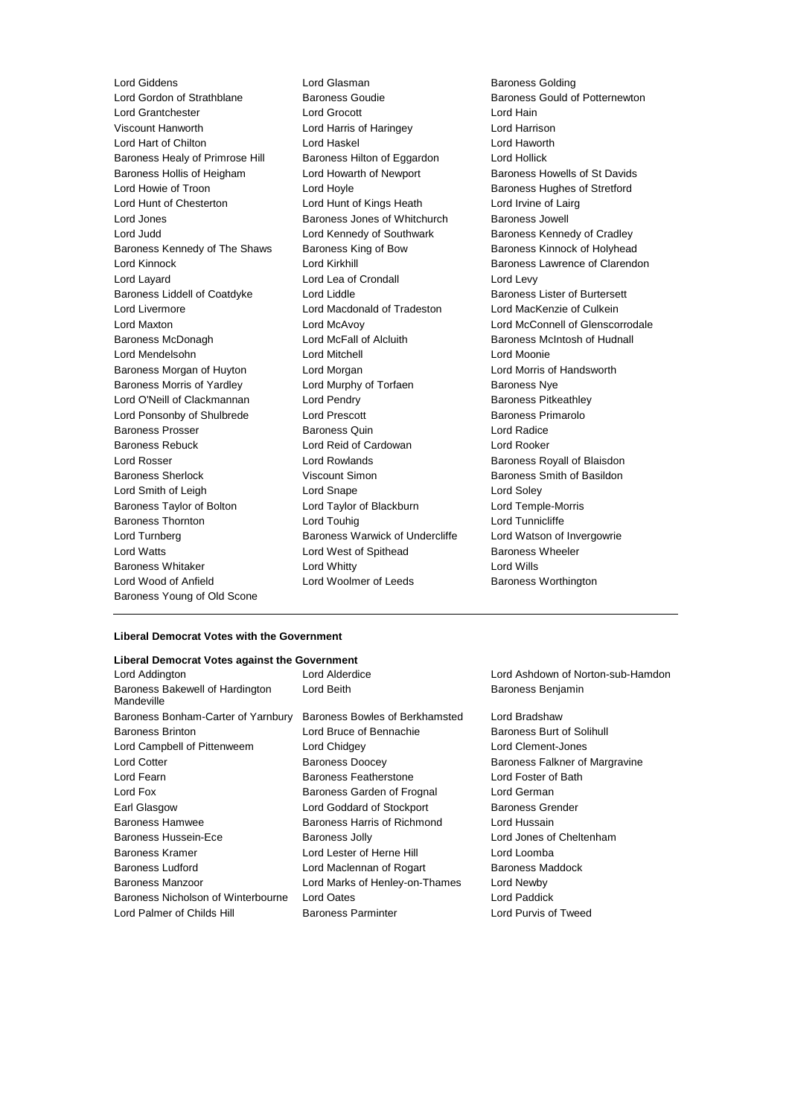Lord Giddens **Lord Glasman** Lord Glasman Baroness Golding<br>
Lord Gordon of Strathblane Baroness Goudie Baroness Gould o Lord Grantchester Lord Grocott Lord Hain Viscount Hanworth Lord Harris of Haringey Lord Harrison Lord Hart of Chilton Lord Haskel Lord Haworth Baroness Healy of Primrose Hill Baroness Hilton of Eggardon Lord Hollick Baroness Hollis of Heigham Lord Howarth of Newport Baroness Howells of St Davids Lord Howie of Troon **Lord Hoyle Lord Hoyle Baroness Hughes of Stretford** Lord Hunt of Chesterton Lord Hunt of Kings Heath Lord Irvine of Lairg Lord Jones Baroness Jones of Whitchurch Baroness Jowell Lord Judd **Lord Kennedy of Southwark** Baroness Kennedy of Cradley Baroness Kennedy of The Shaws Baroness King of Bow Baroness Kinnock of Holyhead Lord Kinnock **Lord Kirkhill** Baroness Lawrence of Clarendon Lord Layard **Lord Lea of Crondall** Lord Levy Baroness Liddell of Coatdyke Lord Liddle Baroness Lister of Burtersett Lord Livermore Lord Macdonald of Tradeston Lord MacKenzie of Culkein Lord Maxton **Lord McAvoy** Lord McAvoy **Lord McConnell of Glenscorrodale**<br>
Baroness McDonagh **Lord McFall of Alcluith** Baroness McIntosh of Hudnall Baroness McDonagh Lord McFall of Alcluith Baroness McIntosh of Hudnall Lord Mendelsohn Lord Mitchell Lord Moonie Baroness Morgan of Huyton Lord Morgan Lord Morris of Handsworth Baroness Morris of Yardley **Lord Murphy of Torfaen** Baroness Nye Lord O'Neill of Clackmannan Lord Pendry **Baroness Pitkeathley** Lord Ponsonby of Shulbrede Lord Prescott Baroness Primarolo Baroness Prosser Baroness Quin Lord Radice Baroness Rebuck Lord Reid of Cardowan Lord Rooker Lord Rosser **Lord Rowlands** Baroness Royall of Blaisdon Baroness Sherlock Viscount Simon Baroness Smith of Basildon Lord Smith of Leigh **Lord Soley** Lord Snape **Lord Soley** Lord Soley Baroness Taylor of Bolton Lord Taylor of Blackburn Lord Temple-Morris Baroness Thornton **Lord Touhig** Lord Touhig Lord Tunnicliffe Lord Turnberg **Baroness Warwick of Undercliffe** Lord Watson of Invergowrie Lord Watts **Lord West of Spithead** Baroness Wheeler Baroness Whitaker **Lord Whitty** Lord Whitty **Lord Wills** Lord Wood of Anfield **Lord Woolmer of Leeds** Baroness Worthington Baroness Young of Old Scone

Baroness Gould of Potternewton

#### **Liberal Democrat Votes with the Government**

#### **Liberal Democrat Votes against the Government**

| Lord Addington                                | Lord Alderdice                 | Lord Ashdown of Norton-s         |
|-----------------------------------------------|--------------------------------|----------------------------------|
| Baroness Bakewell of Hardington<br>Mandeville | Lord Beith                     | Baroness Benjamin                |
| Baroness Bonham-Carter of Yarnbury            | Baroness Bowles of Berkhamsted | Lord Bradshaw                    |
| <b>Baroness Brinton</b>                       | Lord Bruce of Bennachie        | <b>Baroness Burt of Solihull</b> |
| Lord Campbell of Pittenweem                   | Lord Chidgey                   | Lord Clement-Jones               |
| <b>Lord Cotter</b>                            | <b>Baroness Doocey</b>         | Baroness Falkner of Margi        |
| Lord Fearn                                    | Baroness Featherstone          | Lord Foster of Bath              |
| Lord Fox                                      | Baroness Garden of Frognal     | Lord German                      |
| Earl Glasgow                                  | Lord Goddard of Stockport      | <b>Baroness Grender</b>          |
| Baroness Hamwee                               | Baroness Harris of Richmond    | Lord Hussain                     |
| Baroness Hussein-Ece                          | Baroness Jolly                 | Lord Jones of Cheltenham         |
| Baroness Kramer                               | Lord Lester of Herne Hill      | Lord Loomba                      |
| <b>Baroness Ludford</b>                       | Lord Maclennan of Rogart       | <b>Baroness Maddock</b>          |
| Baroness Manzoor                              | Lord Marks of Henley-on-Thames | Lord Newby                       |
| Baroness Nicholson of Winterbourne            | Lord Oates                     | Lord Paddick                     |
| Lord Palmer of Childs Hill                    | <b>Baroness Parminter</b>      | Lord Purvis of Tweed             |

Norton-sub-Hamdon

of Margravine